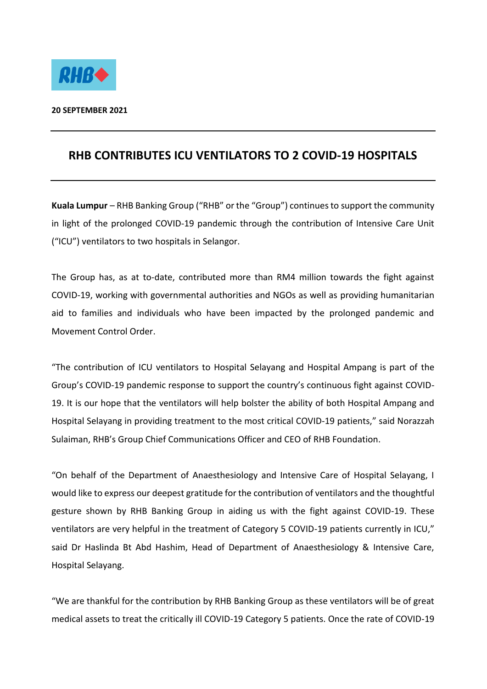

## **RHB CONTRIBUTES ICU VENTILATORS TO 2 COVID-19 HOSPITALS**

**Kuala Lumpur** – RHB Banking Group ("RHB" or the "Group") continues to support the community in light of the prolonged COVID-19 pandemic through the contribution of Intensive Care Unit ("ICU") ventilators to two hospitals in Selangor.

The Group has, as at to-date, contributed more than RM4 million towards the fight against COVID-19, working with governmental authorities and NGOs as well as providing humanitarian aid to families and individuals who have been impacted by the prolonged pandemic and Movement Control Order.

"The contribution of ICU ventilators to Hospital Selayang and Hospital Ampang is part of the Group's COVID-19 pandemic response to support the country's continuous fight against COVID-19. It is our hope that the ventilators will help bolster the ability of both Hospital Ampang and Hospital Selayang in providing treatment to the most critical COVID-19 patients," said Norazzah Sulaiman, RHB's Group Chief Communications Officer and CEO of RHB Foundation.

"On behalf of the Department of Anaesthesiology and Intensive Care of Hospital Selayang, I would like to express our deepest gratitude for the contribution of ventilators and the thoughtful gesture shown by RHB Banking Group in aiding us with the fight against COVID-19. These ventilators are very helpful in the treatment of Category 5 COVID-19 patients currently in ICU," said Dr Haslinda Bt Abd Hashim, Head of Department of Anaesthesiology & Intensive Care, Hospital Selayang.

"We are thankful for the contribution by RHB Banking Group as these ventilators will be of great medical assets to treat the critically ill COVID-19 Category 5 patients. Once the rate of COVID-19